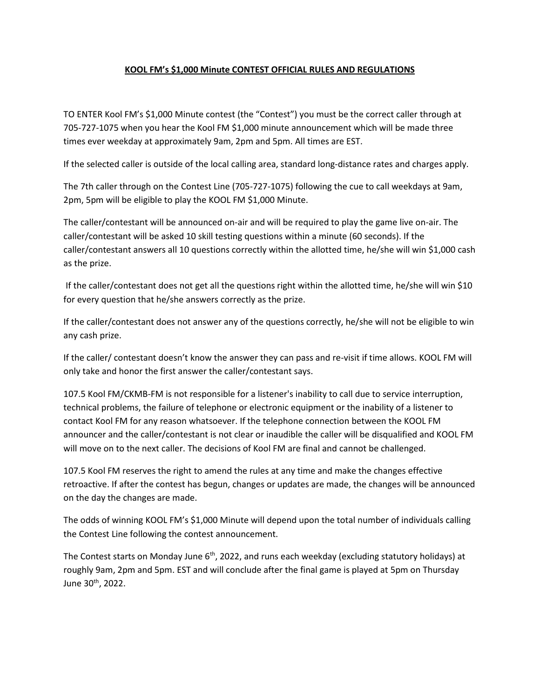## **KOOL FM's \$1,000 Minute CONTEST OFFICIAL RULES AND REGULATIONS**

TO ENTER Kool FM's \$1,000 Minute contest (the "Contest") you must be the correct caller through at 705-727-1075 when you hear the Kool FM \$1,000 minute announcement which will be made three times ever weekday at approximately 9am, 2pm and 5pm. All times are EST.

If the selected caller is outside of the local calling area, standard long-distance rates and charges apply.

The 7th caller through on the Contest Line (705-727-1075) following the cue to call weekdays at 9am, 2pm, 5pm will be eligible to play the KOOL FM \$1,000 Minute.

The caller/contestant will be announced on-air and will be required to play the game live on-air. The caller/contestant will be asked 10 skill testing questions within a minute (60 seconds). If the caller/contestant answers all 10 questions correctly within the allotted time, he/she will win \$1,000 cash as the prize.

If the caller/contestant does not get all the questions right within the allotted time, he/she will win \$10 for every question that he/she answers correctly as the prize.

If the caller/contestant does not answer any of the questions correctly, he/she will not be eligible to win any cash prize.

If the caller/ contestant doesn't know the answer they can pass and re-visit if time allows. KOOL FM will only take and honor the first answer the caller/contestant says.

107.5 Kool FM/CKMB-FM is not responsible for a listener's inability to call due to service interruption, technical problems, the failure of telephone or electronic equipment or the inability of a listener to contact Kool FM for any reason whatsoever. If the telephone connection between the KOOL FM announcer and the caller/contestant is not clear or inaudible the caller will be disqualified and KOOL FM will move on to the next caller. The decisions of Kool FM are final and cannot be challenged.

107.5 Kool FM reserves the right to amend the rules at any time and make the changes effective retroactive. If after the contest has begun, changes or updates are made, the changes will be announced on the day the changes are made.

The odds of winning KOOL FM's \$1,000 Minute will depend upon the total number of individuals calling the Contest Line following the contest announcement.

The Contest starts on Monday June 6<sup>th</sup>, 2022, and runs each weekday (excluding statutory holidays) at roughly 9am, 2pm and 5pm. EST and will conclude after the final game is played at 5pm on Thursday June 30th, 2022.